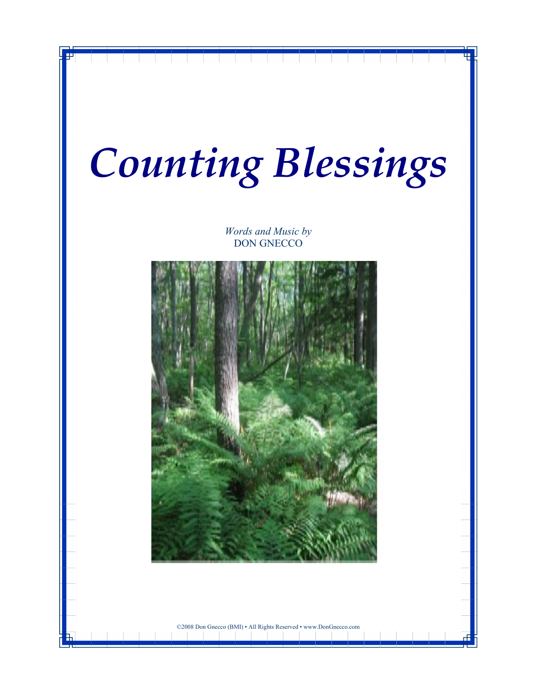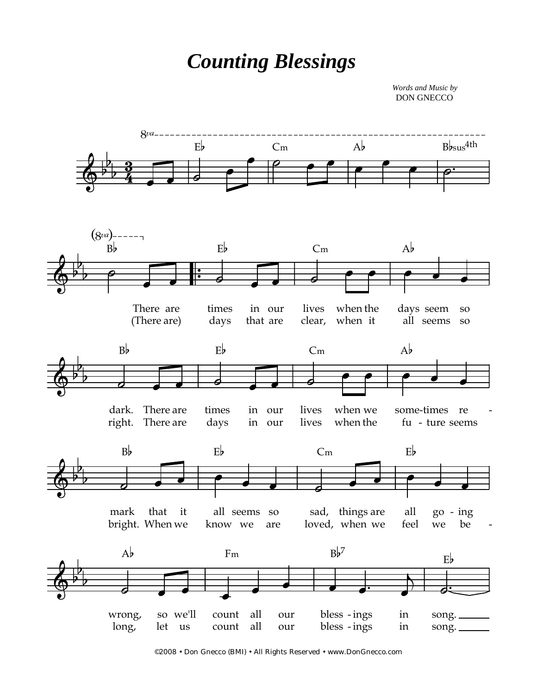## *Counting Blessings*

*Words and Music by* DON GNECCO



©2008 • Don Gnecco (BMI) • All Rights Reserved • www.DonGnecco.com